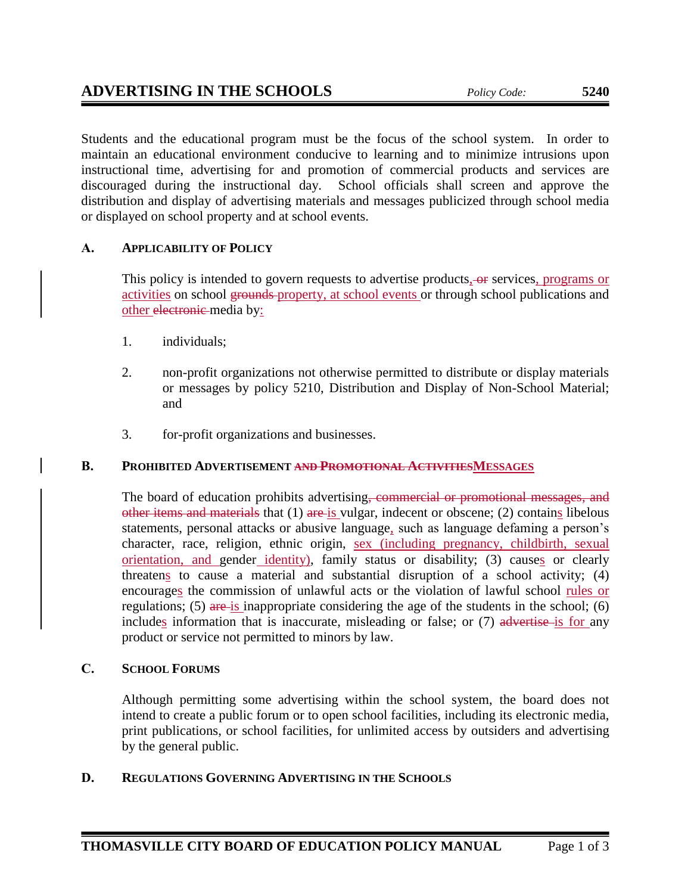Students and the educational program must be the focus of the school system. In order to maintain an educational environment conducive to learning and to minimize intrusions upon instructional time, advertising for and promotion of commercial products and services are discouraged during the instructional day. School officials shall screen and approve the distribution and display of advertising materials and messages publicized through school media or displayed on school property and at school events.

# **A. APPLICABILITY OF POLICY**

This policy is intended to govern requests to advertise products, or services, programs or activities on school grounds property, at school events or through school publications and other electronic media by:

- 1. individuals;
- 2. non-profit organizations not otherwise permitted to distribute or display materials or messages by policy 5210, Distribution and Display of Non-School Material; and
- 3. for-profit organizations and businesses.

# **B. PROHIBITED ADVERTISEMENT AND PROMOTIONAL ACTIVITIESMESSAGES**

The board of education prohibits advertising, commercial or promotional messages, and other items and materials that (1) are is vulgar, indecent or obscene; (2) contains libelous statements, personal attacks or abusive language, such as language defaming a person's character, race, religion, ethnic origin, sex (including pregnancy, childbirth, sexual orientation, and gender identity), family status or disability; (3) causes or clearly threatens to cause a material and substantial disruption of a school activity; (4) encourages the commission of unlawful acts or the violation of lawful school rules or regulations; (5) are is inappropriate considering the age of the students in the school; (6) includes information that is inaccurate, misleading or false; or (7) advertise is for any product or service not permitted to minors by law.

# **C. SCHOOL FORUMS**

Although permitting some advertising within the school system, the board does not intend to create a public forum or to open school facilities, including its electronic media, print publications, or school facilities, for unlimited access by outsiders and advertising by the general public.

# **D. REGULATIONS GOVERNING ADVERTISING IN THE SCHOOLS**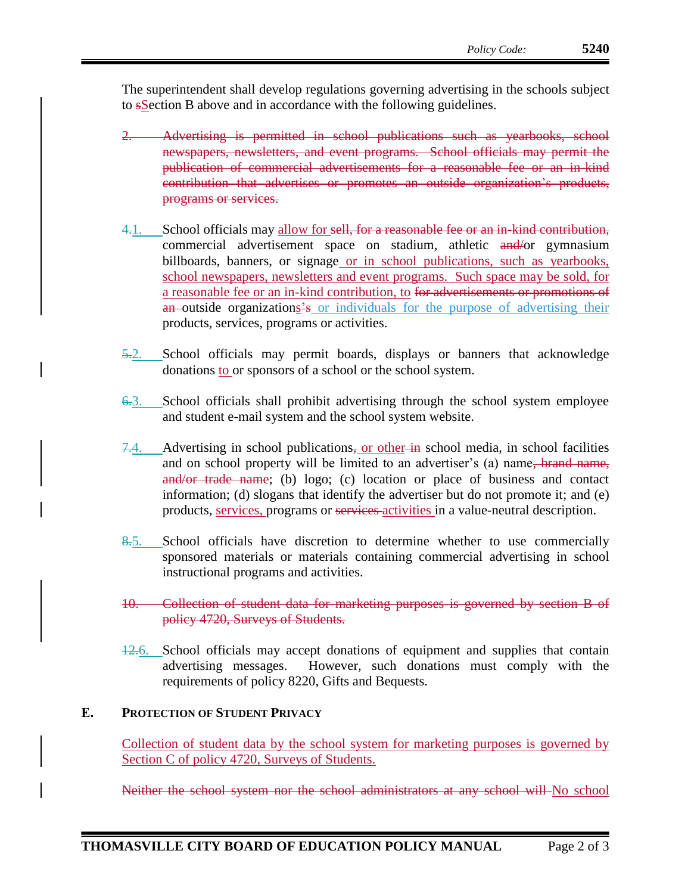The superintendent shall develop regulations governing advertising in the schools subject to sSection B above and in accordance with the following guidelines.

- 2. Advertising is permitted in school publications such as yearbooks, school newspapers, newsletters, and event programs. School officials may permit the publication of commercial advertisements for a reasonable fee or an in-kind contribution that advertises or promotes an outside organization's products, programs or services.
- 4.1. School officials may allow for sell, for a reasonable fee or an in-kind contribution, commercial advertisement space on stadium, athletic and/or gymnasium billboards, banners, or signage or in school publications, such as yearbooks, school newspapers, newsletters and event programs. Such space may be sold, for a reasonable fee or an in-kind contribution, to for advertisements or promotions of an outside organizations's or individuals for the purpose of advertising their products, services, programs or activities.
- 5.2. School officials may permit boards, displays or banners that acknowledge donations to or sponsors of a school or the school system.
- 6.3. School officials shall prohibit advertising through the school system employee and student e-mail system and the school system website.
- $7.4.$  Advertising in school publications, or other in school media, in school facilities and on school property will be limited to an advertiser's (a) name, brand name, and/or trade name; (b) logo; (c) location or place of business and contact information; (d) slogans that identify the advertiser but do not promote it; and (e) products, services, programs or services activities in a value-neutral description.
- 8.5. School officials have discretion to determine whether to use commercially sponsored materials or materials containing commercial advertising in school instructional programs and activities.
- 10. Collection of student data for marketing purposes is governed by section B of policy 4720, Surveys of Students.
- 12.6. School officials may accept donations of equipment and supplies that contain advertising messages. However, such donations must comply with the requirements of policy 8220, Gifts and Bequests.

### **E. PROTECTION OF STUDENT PRIVACY**

Collection of student data by the school system for marketing purposes is governed by Section C of policy 4720, Surveys of Students.

Neither the school system nor the school administrators at any school will No school